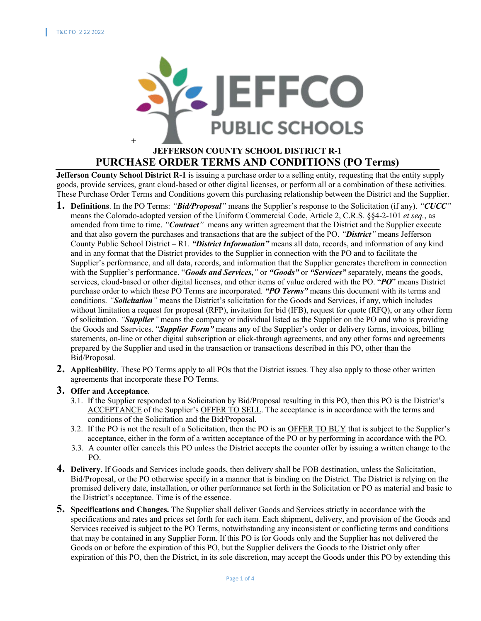

## **JEFFERSON COUNTY SCHOOL DISTRICT R-1 PURCHASE ORDER TERMS AND CONDITIONS (PO Terms)**

**Jefferson County School District R-1** is issuing a purchase order to a selling entity, requesting that the entity supply goods, provide services, grant cloud-based or other digital licenses, or perform all or a combination of these activities. These Purchase Order Terms and Conditions govern this purchasing relationship between the District and the Supplier.

- **1. Definitions**. In the PO Terms: *"Bid/Proposal"* means the Supplier's response to the Solicitation (if any). *"CUCC"*  means the Colorado-adopted version of the Uniform Commercial Code, Article 2, C.R.S. §§4-2-101 *et seq.*, as amended from time to time. *"Contract"* means any written agreement that the District and the Supplier execute and that also govern the purchases and transactions that are the subject of the PO. *"District"* means Jefferson County Public School District – R1. *"District Information"* means all data, records, and information of any kind and in any format that the District provides to the Supplier in connection with the PO and to facilitate the Supplier's performance, and all data, records, and information that the Supplier generates therefrom in connection with the Supplier's performance. "*Goods and Services,"* or *"Goods"* or *"Services"* separately, means the goods, services, cloud-based or other digital licenses, and other items of value ordered with the PO. "*PO*" means District purchase order to which these PO Terms are incorporated. *"PO Terms"* means this document with its terms and conditions. *"Solicitation"* means the District's solicitation for the Goods and Services, if any, which includes without limitation a request for proposal (RFP), invitation for bid (IFB), request for quote (RFQ), or any other form of solicitation. *"Supplier"* means the company or individual listed as the Supplier on the PO and who is providing the Goods and Sservices. "*Supplier Form"* means any of the Supplier's order or delivery forms, invoices, billing statements, on-line or other digital subscription or click-through agreements, and any other forms and agreements prepared by the Supplier and used in the transaction or transactions described in this PO, other than the Bid/Proposal.
- **2. Applicability**. These PO Terms apply to all POs that the District issues. They also apply to those other written agreements that incorporate these PO Terms.
- **3. Offer and Acceptance**.
	- 3.1. If the Supplier responded to a Solicitation by Bid/Proposal resulting in this PO, then this PO is the District's ACCEPTANCE of the Supplier's OFFER TO SELL. The acceptance is in accordance with the terms and conditions of the Solicitation and the Bid/Proposal.
	- 3.2. If the PO is not the result of a Solicitation, then the PO is an OFFER TO BUY that is subject to the Supplier's acceptance, either in the form of a written acceptance of the PO or by performing in accordance with the PO.
	- 3.3. A counter offer cancels this PO unless the District accepts the counter offer by issuing a written change to the PO.
- **4. Delivery.** If Goods and Services include goods, then delivery shall be FOB destination, unless the Solicitation, Bid/Proposal, or the PO otherwise specify in a manner that is binding on the District. The District is relying on the promised delivery date, installation, or other performance set forth in the Solicitation or PO as material and basic to the District's acceptance. Time is of the essence.
- **5. Specifications and Changes.** The Supplier shall deliver Goods and Services strictly in accordance with the specifications and rates and prices set forth for each item. Each shipment, delivery, and provision of the Goods and Services received is subject to the PO Terms, notwithstanding any inconsistent or conflicting terms and conditions that may be contained in any Supplier Form. If this PO is for Goods only and the Supplier has not delivered the Goods on or before the expiration of this PO, but the Supplier delivers the Goods to the District only after expiration of this PO, then the District, in its sole discretion, may accept the Goods under this PO by extending this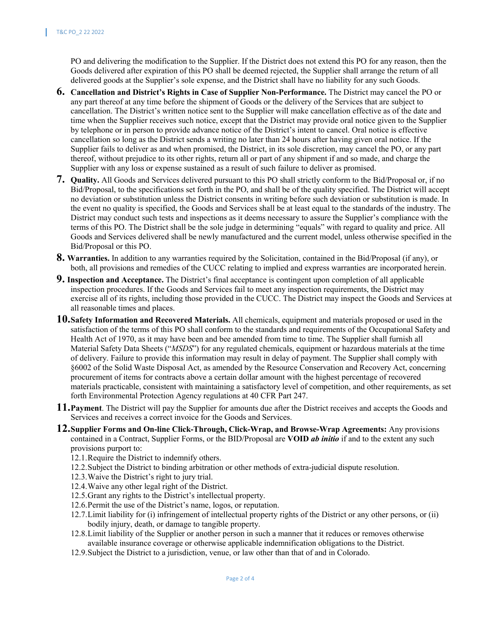PO and delivering the modification to the Supplier. If the District does not extend this PO for any reason, then the Goods delivered after expiration of this PO shall be deemed rejected, the Supplier shall arrange the return of all delivered goods at the Supplier's sole expense, and the District shall have no liability for any such Goods.

- **6. Cancellation and District's Rights in Case of Supplier Non-Performance.** The District may cancel the PO or any part thereof at any time before the shipment of Goods or the delivery of the Services that are subject to cancellation. The District's written notice sent to the Supplier will make cancellation effective as of the date and time when the Supplier receives such notice, except that the District may provide oral notice given to the Supplier by telephone or in person to provide advance notice of the District's intent to cancel. Oral notice is effective cancellation so long as the District sends a writing no later than 24 hours after having given oral notice. If the Supplier fails to deliver as and when promised, the District, in its sole discretion, may cancel the PO, or any part thereof, without prejudice to its other rights, return all or part of any shipment if and so made, and charge the Supplier with any loss or expense sustained as a result of such failure to deliver as promised.
- **7. Quality.** All Goods and Services delivered pursuant to this PO shall strictly conform to the Bid/Proposal or, if no Bid/Proposal, to the specifications set forth in the PO, and shall be of the quality specified. The District will accept no deviation or substitution unless the District consents in writing before such deviation or substitution is made. In the event no quality is specified, the Goods and Services shall be at least equal to the standards of the industry. The District may conduct such tests and inspections as it deems necessary to assure the Supplier's compliance with the terms of this PO. The District shall be the sole judge in determining "equals" with regard to quality and price. All Goods and Services delivered shall be newly manufactured and the current model, unless otherwise specified in the Bid/Proposal or this PO.
- **8. Warranties.** In addition to any warranties required by the Solicitation, contained in the Bid/Proposal (if any), or both, all provisions and remedies of the CUCC relating to implied and express warranties are incorporated herein.
- **9. Inspection and Acceptance.** The District's final acceptance is contingent upon completion of all applicable inspection procedures. If the Goods and Services fail to meet any inspection requirements, the District may exercise all of its rights, including those provided in the CUCC. The District may inspect the Goods and Services at all reasonable times and places.
- **10.Safety Information and Recovered Materials.** All chemicals, equipment and materials proposed or used in the satisfaction of the terms of this PO shall conform to the standards and requirements of the Occupational Safety and Health Act of 1970, as it may have been and bee amended from time to time. The Supplier shall furnish all Material Safety Data Sheets ("*MSDS*") for any regulated chemicals, equipment or hazardous materials at the time of delivery. Failure to provide this information may result in delay of payment. The Supplier shall comply with §6002 of the Solid Waste Disposal Act, as amended by the Resource Conservation and Recovery Act, concerning procurement of items for contracts above a certain dollar amount with the highest percentage of recovered materials practicable, consistent with maintaining a satisfactory level of competition, and other requirements, as set forth Environmental Protection Agency regulations at 40 CFR Part 247.
- **11.Payment**. The District will pay the Supplier for amounts due after the District receives and accepts the Goods and Services and receives a correct invoice for the Goods and Services.
- **12.Supplier Forms and On-line Click-Through, Click-Wrap, and Browse-Wrap Agreements:** Any provisions contained in a Contract, Supplier Forms, or the BID/Proposal are **VOID** *ab initio* if and to the extent any such provisions purport to:
	- 12.1.Require the District to indemnify others.
	- 12.2.Subject the District to binding arbitration or other methods of extra-judicial dispute resolution.
	- 12.3.Waive the District's right to jury trial.
	- 12.4.Waive any other legal right of the District.
	- 12.5.Grant any rights to the District's intellectual property.
	- 12.6.Permit the use of the District's name, logos, or reputation.
	- 12.7.Limit liability for (i) infringement of intellectual property rights of the District or any other persons, or (ii) bodily injury, death, or damage to tangible property.
	- 12.8.Limit liability of the Supplier or another person in such a manner that it reduces or removes otherwise available insurance coverage or otherwise applicable indemnification obligations to the District.
	- 12.9.Subject the District to a jurisdiction, venue, or law other than that of and in Colorado.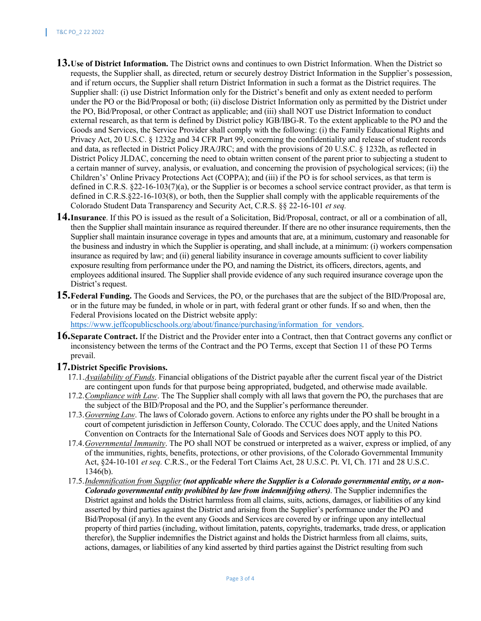- **13.Use of District Information.** The District owns and continues to own District Information. When the District so requests, the Supplier shall, as directed, return or securely destroy District Information in the Supplier's possession, and if return occurs, the Supplier shall return District Information in such a format as the District requires. The Supplier shall: (i) use District Information only for the District's benefit and only as extent needed to perform under the PO or the Bid/Proposal or both; (ii) disclose District Information only as permitted by the District under the PO, Bid/Proposal, or other Contract as applicable; and (iii) shall NOT use District Information to conduct external research, as that term is defined by District policy IGB/IBG-R. To the extent applicable to the PO and the Goods and Services, the Service Provider shall comply with the following: (i) the Family Educational Rights and Privacy Act, 20 U.S.C. § 1232g and 34 CFR Part 99, concerning the confidentiality and release of student records and data, as reflected in District Policy JRA/JRC; and with the provisions of 20 U.S.C. § 1232h, as reflected in District Policy JLDAC, concerning the need to obtain written consent of the parent prior to subjecting a student to a certain manner of survey, analysis, or evaluation, and concerning the provision of psychological services; (ii) the Children's' Online Privacy Protections Act (COPPA); and (iii) if the PO is for school services, as that term is defined in C.R.S. §22-16-103(7)(a), or the Supplier is or becomes a school service contract provider, as that term is defined in C.R.S.§22-16-103(8), or both, then the Supplier shall comply with the applicable requirements of the Colorado Student Data Transparency and Security Act, C.R.S. §§ 22-16-101 *et seq.*
- **14.Insurance**. If this PO is issued as the result of a Solicitation, Bid/Proposal, contract, or all or a combination of all, then the Supplier shall maintain insurance as required thereunder. If there are no other insurance requirements, then the Supplier shall maintain insurance coverage in types and amounts that are, at a minimum, customary and reasonable for the business and industry in which the Supplier is operating, and shall include, at a minimum: (i) workers compensation insurance as required by law; and (ii) general liability insurance in coverage amounts sufficient to cover liability exposure resulting from performance under the PO, and naming the District, its officers, directors, agents, and employees additional insured. The Supplier shall provide evidence of any such required insurance coverage upon the District's request.
- **15.Federal Funding.** The Goods and Services, the PO, or the purchases that are the subject of the BID/Proposal are, or in the future may be funded, in whole or in part, with federal grant or other funds. If so and when, then the Federal Provisions located on the District website apply: https://www.jeffcopublicschools.org/about/finance/purchasing/information for vendors.
- **16.Separate Contract.** If the District and the Provider enter into a Contract, then that Contract governs any conflict or inconsistency between the terms of the Contract and the PO Terms, except that Section 11 of these PO Terms prevail.

## **17.District Specific Provisions.**

- 17.1.*Availability of Funds*. Financial obligations of the District payable after the current fiscal year of the District are contingent upon funds for that purpose being appropriated, budgeted, and otherwise made available.
- 17.2.*Compliance with Law*. The The Supplier shall comply with all laws that govern the PO, the purchases that are the subject of the BID/Proposal and the PO, and the Supplier's performance thereunder.
- 17.3.*Governing Law*. The laws of Colorado govern. Actions to enforce any rights under the PO shall be brought in a court of competent jurisdiction in Jefferson County, Colorado. The CCUC does apply, and the United Nations Convention on Contracts for the International Sale of Goods and Services does NOT apply to this PO.
- 17.4.*Governmental Immunity*. The PO shall NOT be construed or interpreted as a waiver, express or implied, of any of the immunities, rights, benefits, protections, or other provisions, of the Colorado Governmental Immunity Act, §24-10-101 *et seq.* C.R.S., or the Federal Tort Claims Act, 28 U.S.C. Pt. VI, Ch. 171 and 28 U.S.C. 1346(b).
- 17.5.*Indemnification from Supplier (not applicable where the Supplier is a Colorado governmental entity, or a non-Colorado governmental entity prohibited by law from indemnifying others)*. The Supplier indemnifies the District against and holds the District harmless from all claims, suits, actions, damages, or liabilities of any kind asserted by third parties against the District and arising from the Supplier's performance under the PO and Bid/Proposal (if any). In the event any Goods and Services are covered by or infringe upon any intellectual property of third parties (including, without limitation, patents, copyrights, trademarks, trade dress, or application therefor), the Supplier indemnifies the District against and holds the District harmless from all claims, suits, actions, damages, or liabilities of any kind asserted by third parties against the District resulting from such